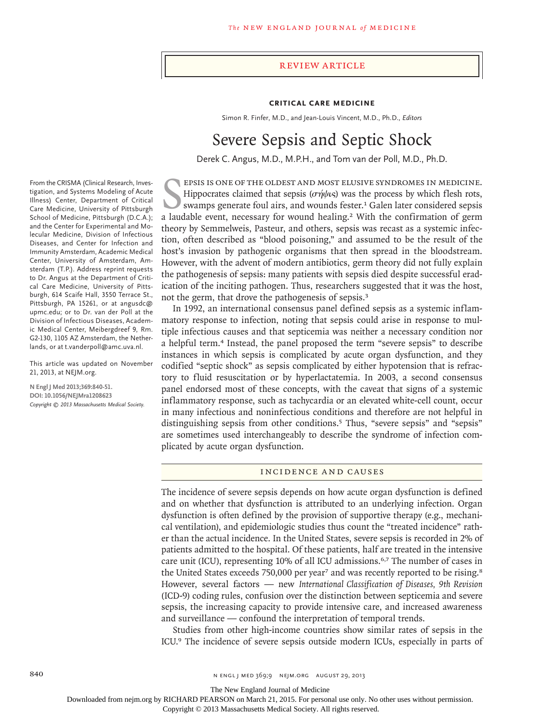#### review article

## **Critical Care Medicine**

Simon R. Finfer, M.D., and Jean-Louis Vincent, M.D., Ph.D., *Editors*

# Severe Sepsis and Septic Shock

Derek C. Angus, M.D., M.P.H., and Tom van der Poll, M.D., Ph.D.

EPSIS IS ONE OF THE OLDEST AND MOST ELUSIVE SYNDROMES IN MEDICINE.<br>Hippocrates claimed that sepsis ( $\sigma \hat{\eta}$ / $\mu$ s) was the process by which flesh rots, swamps generate foul airs, and wounds fester.<sup>1</sup> Galen later conside epsis is one of the oldest and most elusive syndromes in medicine. Hippocrates claimed that sepsis ( $\sigma \acute{\eta} \psi$ <sub>s</sub>) was the process by which flesh rots, swamps generate foul airs, and wounds fester.<sup>1</sup> Galen later considered sepsis theory by Semmelweis, Pasteur, and others, sepsis was recast as a systemic infection, often described as "blood poisoning," and assumed to be the result of the host's invasion by pathogenic organisms that then spread in the bloodstream. However, with the advent of modern antibiotics, germ theory did not fully explain the pathogenesis of sepsis: many patients with sepsis died despite successful eradication of the inciting pathogen. Thus, researchers suggested that it was the host, not the germ, that drove the pathogenesis of sepsis.<sup>3</sup>

In 1992, an international consensus panel defined sepsis as a systemic inflammatory response to infection, noting that sepsis could arise in response to multiple infectious causes and that septicemia was neither a necessary condition nor a helpful term.4 Instead, the panel proposed the term "severe sepsis" to describe instances in which sepsis is complicated by acute organ dysfunction, and they codified "septic shock" as sepsis complicated by either hypotension that is refractory to fluid resuscitation or by hyperlactatemia. In 2003, a second consensus panel endorsed most of these concepts, with the caveat that signs of a systemic inflammatory response, such as tachycardia or an elevated white-cell count, occur in many infectious and noninfectious conditions and therefore are not helpful in distinguishing sepsis from other conditions.<sup>5</sup> Thus, "severe sepsis" and "sepsis" are sometimes used interchangeably to describe the syndrome of infection complicated by acute organ dysfunction.

# Incidence a nd C auses

The incidence of severe sepsis depends on how acute organ dysfunction is defined and on whether that dysfunction is attributed to an underlying infection. Organ dysfunction is often defined by the provision of supportive therapy (e.g., mechanical ventilation), and epidemiologic studies thus count the "treated incidence" rather than the actual incidence. In the United States, severe sepsis is recorded in 2% of patients admitted to the hospital. Of these patients, half are treated in the intensive care unit (ICU), representing 10% of all ICU admissions.6,7 The number of cases in the United States exceeds 750,000 per year<sup>7</sup> and was recently reported to be rising.<sup>8</sup> However, several factors — new *International Classification of Diseases, 9th Revision* (ICD-9) coding rules, confusion over the distinction between septicemia and severe sepsis, the increasing capacity to provide intensive care, and increased awareness and surveillance — confound the interpretation of temporal trends.

Studies from other high-income countries show similar rates of sepsis in the ICU.9 The incidence of severe sepsis outside modern ICUs, especially in parts of

From the CRISMA (Clinical Research, Investigation, and Systems Modeling of Acute Illness) Center, Department of Critical Care Medicine, University of Pittsburgh School of Medicine, Pittsburgh (D.C.A.); and the Center for Experimental and Molecular Medicine, Division of Infectious Diseases, and Center for Infection and Immunity Amsterdam, Academic Medical Center, University of Amsterdam, Amsterdam (T.P.). Address reprint requests to Dr. Angus at the Department of Critical Care Medicine, University of Pittsburgh, 614 Scaife Hall, 3550 Terrace St., Pittsburgh, PA 15261, or at angusdc@ upmc.edu; or to Dr. van der Poll at the Division of Infectious Diseases, Academic Medical Center, Meibergdreef 9, Rm. G2-130, 1105 AZ Amsterdam, the Netherlands, or at t.vanderpoll@amc.uva.nl.

This article was updated on November 21, 2013, at NEJM.org.

**N Engl J Med 2013;369:840-51. DOI: 10.1056/NEJMra1208623** *Copyright © 2013 Massachusetts Medical Society.*

The New England Journal of Medicine

Downloaded from nejm.org by RICHARD PEARSON on March 21, 2015. For personal use only. No other uses without permission.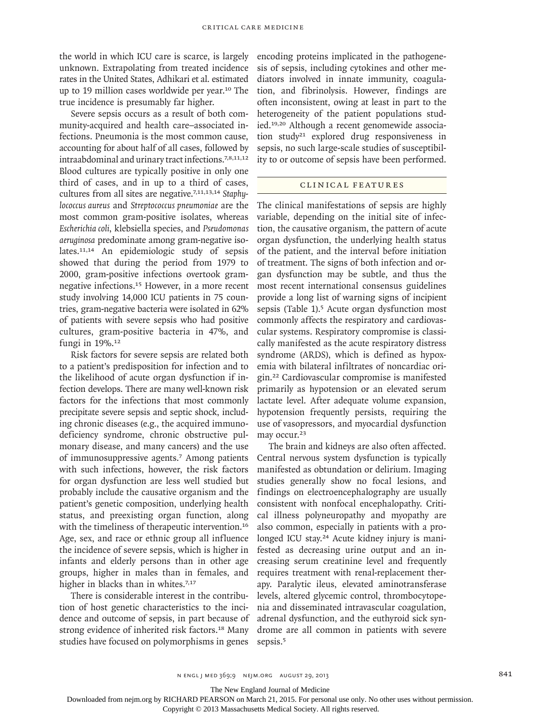the world in which ICU care is scarce, is largely unknown. Extrapolating from treated incidence rates in the United States, Adhikari et al. estimated up to 19 million cases worldwide per year.10 The true incidence is presumably far higher.

Severe sepsis occurs as a result of both community-acquired and health care–associated infections. Pneumonia is the most common cause, accounting for about half of all cases, followed by intraabdominal and urinary tract infections.7,8,11,12 Blood cultures are typically positive in only one third of cases, and in up to a third of cases, cultures from all sites are negative.7,11,13,14 *Staphylococcus aureus* and *Streptococcus pneumoniae* are the most common gram-positive isolates, whereas *Escherichia coli*, klebsiella species, and *Pseudomonas aeruginosa* predominate among gram-negative isolates.11,14 An epidemiologic study of sepsis showed that during the period from 1979 to 2000, gram-positive infections overtook gramnegative infections.15 However, in a more recent study involving 14,000 ICU patients in 75 countries, gram-negative bacteria were isolated in 62% of patients with severe sepsis who had positive cultures, gram-positive bacteria in 47%, and fungi in 19%.<sup>12</sup>

Risk factors for severe sepsis are related both to a patient's predisposition for infection and to the likelihood of acute organ dysfunction if infection develops. There are many well-known risk factors for the infections that most commonly precipitate severe sepsis and septic shock, including chronic diseases (e.g., the acquired immunodeficiency syndrome, chronic obstructive pulmonary disease, and many cancers) and the use of immunosuppressive agents.7 Among patients with such infections, however, the risk factors for organ dysfunction are less well studied but probably include the causative organism and the patient's genetic composition, underlying health status, and preexisting organ function, along with the timeliness of therapeutic intervention.<sup>16</sup> Age, sex, and race or ethnic group all influence the incidence of severe sepsis, which is higher in infants and elderly persons than in other age groups, higher in males than in females, and higher in blacks than in whites.<sup>7,17</sup>

There is considerable interest in the contribution of host genetic characteristics to the incidence and outcome of sepsis, in part because of strong evidence of inherited risk factors.18 Many studies have focused on polymorphisms in genes encoding proteins implicated in the pathogenesis of sepsis, including cytokines and other mediators involved in innate immunity, coagulation, and fibrinolysis. However, findings are often inconsistent, owing at least in part to the heterogeneity of the patient populations studied.19,20 Although a recent genomewide association study<sup>21</sup> explored drug responsiveness in sepsis, no such large-scale studies of susceptibility to or outcome of sepsis have been performed.

# CLINICAL FEATURES

The clinical manifestations of sepsis are highly variable, depending on the initial site of infection, the causative organism, the pattern of acute organ dysfunction, the underlying health status of the patient, and the interval before initiation of treatment. The signs of both infection and organ dysfunction may be subtle, and thus the most recent international consensus guidelines provide a long list of warning signs of incipient sepsis (Table 1).<sup>5</sup> Acute organ dysfunction most commonly affects the respiratory and cardiovascular systems. Respiratory compromise is classically manifested as the acute respiratory distress syndrome (ARDS), which is defined as hypoxemia with bilateral infiltrates of noncardiac origin.22 Cardiovascular compromise is manifested primarily as hypotension or an elevated serum lactate level. After adequate volume expansion, hypotension frequently persists, requiring the use of vasopressors, and myocardial dysfunction may occur.<sup>23</sup>

The brain and kidneys are also often affected. Central nervous system dysfunction is typically manifested as obtundation or delirium. Imaging studies generally show no focal lesions, and findings on electroencephalography are usually consistent with nonfocal encephalopathy. Critical illness polyneuropathy and myopathy are also common, especially in patients with a prolonged ICU stay.24 Acute kidney injury is manifested as decreasing urine output and an increasing serum creatinine level and frequently requires treatment with renal-replacement therapy. Paralytic ileus, elevated aminotransferase levels, altered glycemic control, thrombocytopenia and disseminated intravascular coagulation, adrenal dysfunction, and the euthyroid sick syndrome are all common in patients with severe sepsis.<sup>5</sup>

The New England Journal of Medicine

Downloaded from nejm.org by RICHARD PEARSON on March 21, 2015. For personal use only. No other uses without permission.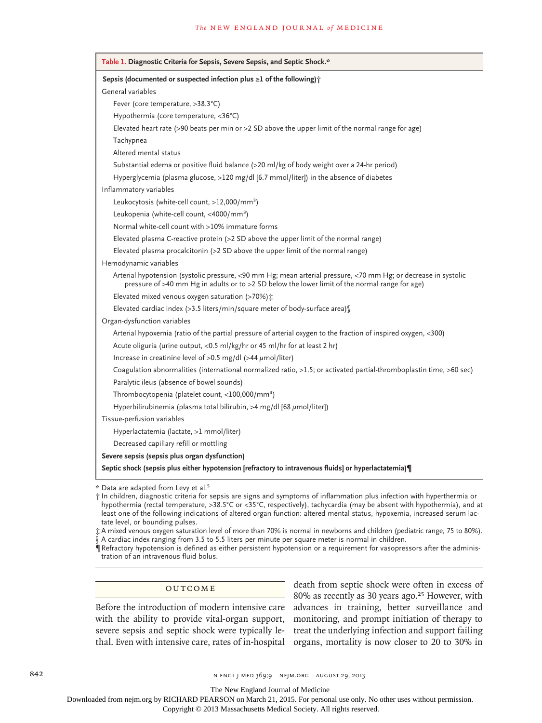| Sepsis (documented or suspected infection plus $\geq 1$ of the following) $\uparrow$                                                                                                                             |  |
|------------------------------------------------------------------------------------------------------------------------------------------------------------------------------------------------------------------|--|
| General variables                                                                                                                                                                                                |  |
| Fever (core temperature, >38.3°C)                                                                                                                                                                                |  |
| Hypothermia (core temperature, <36°C)                                                                                                                                                                            |  |
| Elevated heart rate (>90 beats per min or >2 SD above the upper limit of the normal range for age)                                                                                                               |  |
| Tachypnea                                                                                                                                                                                                        |  |
| Altered mental status                                                                                                                                                                                            |  |
| Substantial edema or positive fluid balance (>20 ml/kg of body weight over a 24-hr period)                                                                                                                       |  |
| Hyperglycemia (plasma glucose, >120 mg/dl [6.7 mmol/liter]) in the absence of diabetes                                                                                                                           |  |
| Inflammatory variables                                                                                                                                                                                           |  |
| Leukocytosis (white-cell count, >12,000/mm <sup>3</sup> )                                                                                                                                                        |  |
| Leukopenia (white-cell count, <4000/mm <sup>3</sup> )                                                                                                                                                            |  |
| Normal white-cell count with >10% immature forms                                                                                                                                                                 |  |
| Elevated plasma C-reactive protein (>2 SD above the upper limit of the normal range)                                                                                                                             |  |
| Elevated plasma procalcitonin (>2 SD above the upper limit of the normal range)                                                                                                                                  |  |
| Hemodynamic variables                                                                                                                                                                                            |  |
| Arterial hypotension (systolic pressure, <90 mm Hg; mean arterial pressure, <70 mm Hg; or decrease in systolic<br>pressure of >40 mm Hg in adults or to >2 SD below the lower limit of the normal range for age) |  |
| Elevated mixed venous oxygen saturation (>70%) $\dot{x}$                                                                                                                                                         |  |
| Elevated cardiac index (>3.5 liters/min/square meter of body-surface area) §                                                                                                                                     |  |
| Organ-dysfunction variables                                                                                                                                                                                      |  |
| Arterial hypoxemia (ratio of the partial pressure of arterial oxygen to the fraction of inspired oxygen, <300)                                                                                                   |  |
| Acute oliguria (urine output, <0.5 ml/kg/hr or 45 ml/hr for at least 2 hr)                                                                                                                                       |  |
| Increase in creatinine level of >0.5 mg/dl (>44 $\mu$ mol/liter)                                                                                                                                                 |  |
| Coagulation abnormalities (international normalized ratio, >1.5; or activated partial-thromboplastin time, >60 sec)                                                                                              |  |
| Paralytic ileus (absence of bowel sounds)                                                                                                                                                                        |  |
| Thrombocytopenia (platelet count, <100,000/mm <sup>3</sup> )                                                                                                                                                     |  |
| Hyperbilirubinemia (plasma total bilirubin, >4 mg/dl [68 µmol/liter])                                                                                                                                            |  |
| Tissue-perfusion variables                                                                                                                                                                                       |  |
| Hyperlactatemia (lactate, >1 mmol/liter)                                                                                                                                                                         |  |
| Decreased capillary refill or mottling                                                                                                                                                                           |  |
| Severe sepsis (sepsis plus organ dysfunction)                                                                                                                                                                    |  |
| Septic shock (sepsis plus either hypotension [refractory to intravenous fluids] or hyperlactatemia)                                                                                                              |  |

hypothermia (rectal temperature, >38.5°C or <35°C, respectively), tachycardia (may be absent with hypothermia), and at least one of the following indications of altered organ function: altered mental status, hypoxemia, increased serum lactate level, or bounding pulses.

‡ A mixed venous oxygen saturation level of more than 70% is normal in newborns and children (pediatric range, 75 to 80%).

 $\hat{\S}$  A cardiac index ranging from 3.5 to 5.5 liters per minute per square meter is normal in children.

**The finities in the state of the state of the state is a** either persistent hypotension or a requirement for vasopressors after the administration of an intravenous fluid bolus.

**OUTCOME** 

Before the introduction of modern intensive care with the ability to provide vital-organ support, severe sepsis and septic shock were typically lethal. Even with intensive care, rates of in-hospital organs, mortality is now closer to 20 to 30% in

death from septic shock were often in excess of 80% as recently as 30 years ago.<sup>25</sup> However, with advances in training, better surveillance and monitoring, and prompt initiation of therapy to treat the underlying infection and support failing

The New England Journal of Medicine

Downloaded from nejm.org by RICHARD PEARSON on March 21, 2015. For personal use only. No other uses without permission.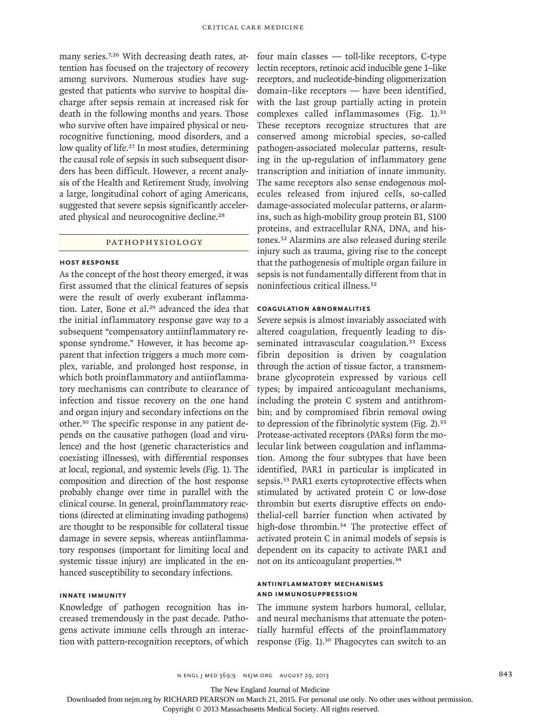many series.<sup>7,26</sup> With decreasing death rates, attention has focused on the trajectory of recovery among survivors. Numerous studies have suggested that patients who survive to hospital discharge after sepsis remain at increased risk for death in the following months and years. Those who survive often have impaired physical or neurocognitive functioning, mood disorders, and a low quality of life.<sup>27</sup> In most studies, determining the causal role of sepsis in such subsequent disorders has been difficult. However, a recent analysis of the Health and Retirement Study, involving a large, longitudinal cohort of aging Americans, suggested that severe sepsis significantly accelerated physical and neurocognitive decline.<sup>28</sup>

# **PATHOPHYSIOLOGY**

#### **Host Response**

As the concept of the host theory emerged, it was first assumed that the clinical features of sepsis were the result of overly exuberant inflammation. Later, Bone et al.<sup>29</sup> advanced the idea that the initial inflammatory response gave way to a subsequent "compensatory antiinflammatory response syndrome." However, it has become apparent that infection triggers a much more complex, variable, and prolonged host response, in which both proinflammatory and antiinflammatory mechanisms can contribute to clearance of infection and tissue recovery on the one hand and organ injury and secondary infections on the other.30 The specific response in any patient depends on the causative pathogen (load and virulence) and the host (genetic characteristics and coexisting illnesses), with differential responses at local, regional, and systemic levels (Fig. 1). The composition and direction of the host response probably change over time in parallel with the clinical course. In general, proinflammatory reactions (directed at eliminating invading pathogens) are thought to be responsible for collateral tissue damage in severe sepsis, whereas antiinflammatory responses (important for limiting local and systemic tissue injury) are implicated in the enhanced susceptibility to secondary infections.

## **Innate Immunity**

Knowledge of pathogen recognition has increased tremendously in the past decade. Pathogens activate immune cells through an interaction with pattern-recognition receptors, of which

four main classes — toll-like receptors, C-type lectin receptors, retinoic acid inducible gene 1–like receptors, and nucleotide-binding oligomerization domain–like receptors — have been identified, with the last group partially acting in protein complexes called inflammasomes (Fig. 1).<sup>31</sup> These receptors recognize structures that are conserved among microbial species, so-called pathogen-associated molecular patterns, resulting in the up-regulation of inflammatory gene transcription and initiation of innate immunity. The same receptors also sense endogenous molecules released from injured cells, so-called damage-associated molecular patterns, or alarmins, such as high-mobility group protein B1, S100 proteins, and extracellular RNA, DNA, and histones.32 Alarmins are also released during sterile injury such as trauma, giving rise to the concept that the pathogenesis of multiple organ failure in sepsis is not fundamentally different from that in noninfectious critical illness.<sup>32</sup>

# **Coagulation Abnormalities**

Severe sepsis is almost invariably associated with altered coagulation, frequently leading to disseminated intravascular coagulation.<sup>33</sup> Excess fibrin deposition is driven by coagulation through the action of tissue factor, a transmembrane glycoprotein expressed by various cell types; by impaired anticoagulant mechanisms, including the protein C system and antithrombin; and by compromised fibrin removal owing to depression of the fibrinolytic system (Fig. 2).<sup>33</sup> Protease-activated receptors (PARs) form the molecular link between coagulation and inflammation. Among the four subtypes that have been identified, PAR1 in particular is implicated in sepsis.<sup>33</sup> PAR1 exerts cytoprotective effects when stimulated by activated protein C or low-dose thrombin but exerts disruptive effects on endothelial-cell barrier function when activated by high-dose thrombin.<sup>34</sup> The protective effect of activated protein C in animal models of sepsis is dependent on its capacity to activate PAR1 and not on its anticoagulant properties.<sup>34</sup>

## **Antiinflammatory Mechanisms and Immunosuppression**

The immune system harbors humoral, cellular, and neural mechanisms that attenuate the potentially harmful effects of the proinflammatory response (Fig. 1).<sup>30</sup> Phagocytes can switch to an

The New England Journal of Medicine

Downloaded from nejm.org by RICHARD PEARSON on March 21, 2015. For personal use only. No other uses without permission.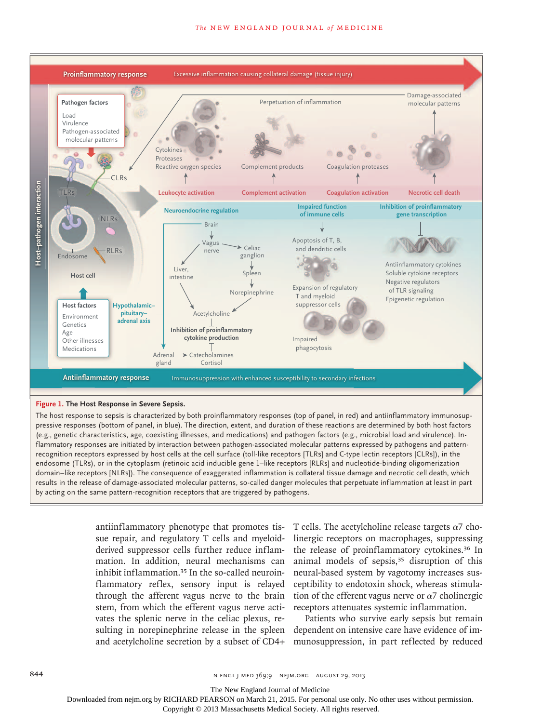

# **Figure 1. The Host Response in Severe Sepsis.**

 $\frac{1}{1}$ endosome (TLRs), or in the cytoplasm (retinoic acid inducible gene 1–like receptors [RLRs] and nucleotide-binding oligomerization The host response to sepsis is characterized by both proinflammatory responses (top of panel, in red) and antiinflammatory immunosupdomain–like receptors [NLRs]). The consequence of exaggerated inflammation is collateral tissue damage and necrotic cell death, which results in the release of damage-associated molecular patterns, so-called danger molecules that perpetuate inflammation at least in part pressive responses (bottom of panel, in blue). The direction, extent, and duration of these reactions are determined by both host factors Title (e.g., genetic characteristics, age, coexisting illnesses, and medications) and pathogen factors (e.g., microbial load and virulence). Inrecognition receptors expressed by host cells at the cell surface (toll-like receptors [TLRs] and C-type lectin receptors [CLRs]), in the flammatory responses are initiated by interaction between pathogen-associated molecular patterns expressed by pathogens and patternby acting on the same pattern-recognition receptors that are triggered by pathogens.

> antiinflammatory phenotype that promotes tissue repair, and regulatory T cells and myeloidderived suppressor cells further reduce inflammation. In addition, neural mechanisms can inhibit inflammation.<sup>35</sup> In the so-called neuroinflammatory reflex, sensory input is relayed through the afferent vagus nerve to the brain stem, from which the efferent vagus nerve activates the splenic nerve in the celiac plexus, resulting in norepinephrine release in the spleen and acetylcholine secretion by a subset of CD4+

T cells. The acetylcholine release targets  $\alpha$ 7 cholinergic receptors on macrophages, suppressing the release of proinflammatory cytokines.<sup>36</sup> In animal models of sepsis,<sup>35</sup> disruption of this neural-based system by vagotomy increases susceptibility to endotoxin shock, whereas stimulation of the efferent vagus nerve or  $\alpha$ 7 cholinergic receptors attenuates systemic inflammation.

Patients who survive early sepsis but remain dependent on intensive care have evidence of immunosuppression, in part reflected by reduced

The New England Journal of Medicine

Downloaded from nejm.org by RICHARD PEARSON on March 21, 2015. For personal use only. No other uses without permission.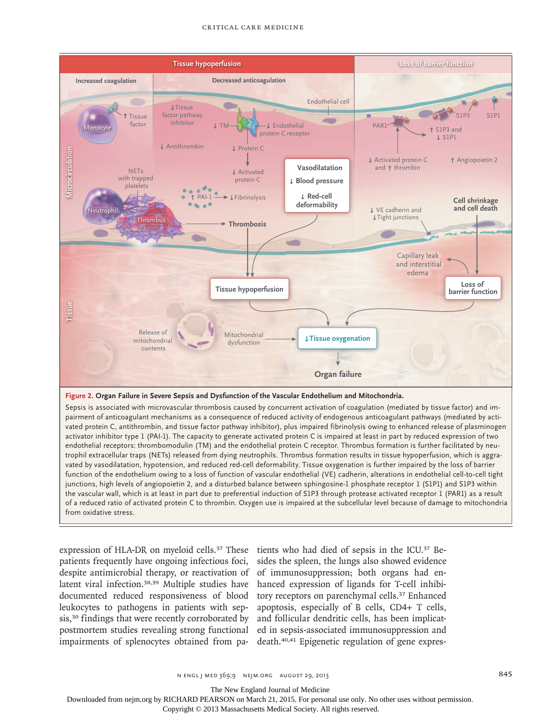

#### **Figure 2. Organ Failure in Severe Sepsis and Dysfunction of the Vascular Endothelium and Mitochondria.**

activator inhibitor type 1 (PAI-1). The capacity to generate activated protein C is impaired at least in part by reduced expression of two vated by vasodilatation, hypotension, and reduced red-cell deformability. Tissue oxygenation is further impaired by the loss of barrier Issue date may mean to actuate my part and to protect may be actually controlled proteins and the subcellular<br>Of a reduced ratio of activated protein C to thrombin. Oxygen use is impaired at the subcellular level because o pairment of anticoagulant mechanisms as a consequence of reduced activity of endogenous anticoagulant pathways (mediated by actijunctions, high levels of angiopoietin 2, and a disturbed balance between sphingosine-1 phosphate receptor 1 (S1P1) and S1P3 within the vascular wall, which is at least in part due to preferential induction of S1P3 through protease activated receptor 1 (PAR1) as a result vated protein C, antithrombin, and tissue factor pathway inhibitor), plus impaired fibrinolysis owing to enhanced release of plasminogen endothelial receptors: thrombomodulin (TM) and the endothelial protein C receptor. Thrombus formation is further facilitated by neutrophil extracellular traps (NETs) released from dying neutrophils. Thrombus formation results in tissue hypoperfusion, which is aggrafunction of the endothelium owing to a loss of function of vascular endothelial (VE) cadherin, alterations in endothelial cell-to-cell tight Sepsis is associated with microvascular thrombosis caused by concurrent activation of coagulation (mediated by tissue factor) and imfrom oxidative stress.

expression of HLA-DR on myeloid cells.<sup>37</sup> These tients who had died of sepsis in the ICU.<sup>37</sup> Bepatients frequently have ongoing infectious foci, despite antimicrobial therapy, or reactivation of of immunosuppression; both organs had enlatent viral infection.38,39 Multiple studies have documented reduced responsiveness of blood leukocytes to pathogens in patients with sepsis,<sup>30</sup> findings that were recently corroborated by postmortem studies revealing strong functional impairments of splenocytes obtained from pa-

sides the spleen, the lungs also showed evidence hanced expression of ligands for T-cell inhibitory receptors on parenchymal cells.<sup>37</sup> Enhanced apoptosis, especially of B cells, CD4+ T cells, and follicular dendritic cells, has been implicated in sepsis-associated immunosuppression and death.40,41 Epigenetic regulation of gene expres-

The New England Journal of Medicine

Downloaded from nejm.org by RICHARD PEARSON on March 21, 2015. For personal use only. No other uses without permission.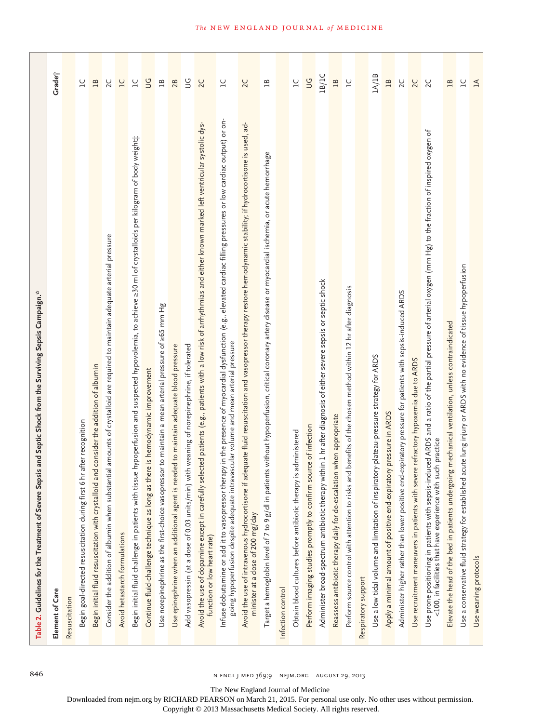| 846                                         | Table 2. Guidelines for the Treatment of Severe Sepsis and Septic Shock from the Surviving Sepsis Campaign. $^{\circ}$                                                                                                                                       |                |
|---------------------------------------------|--------------------------------------------------------------------------------------------------------------------------------------------------------------------------------------------------------------------------------------------------------------|----------------|
|                                             | Element of Care                                                                                                                                                                                                                                              | Grade          |
|                                             | Resuscitation                                                                                                                                                                                                                                                |                |
|                                             | hr after recognition<br>Begin goal-directed resuscitation during first 6                                                                                                                                                                                     | $\overline{C}$ |
|                                             | and consider the addition of albumin<br>Begin initial fluid resuscitation with crystalloid                                                                                                                                                                   | 18             |
|                                             | Consider the addition of albumin when substantial amounts of crystalloid are required to maintain adequate arterial pressure                                                                                                                                 | 2C             |
|                                             | Avoid hetastarch formulations                                                                                                                                                                                                                                | 1C             |
|                                             | Begin initial fluid challenge in patients with tissue hypoperfusion and suspected hypovolemia, to achieve ≥30 ml of crystalloids per kilogram of body weight $\ddot{\text{z}}$                                                                               | $\overline{C}$ |
|                                             | Continue fluid-challenge technique as long as there is hemodynamic improvement                                                                                                                                                                               | <b>UG</b>      |
|                                             | Use norepinephrine as the first-choice vasopressor to maintain a mean arterial pressure of 265 mm $Hg$                                                                                                                                                       | 1B             |
|                                             | Use epinephrine when an additional agent is needed to maintain adequate blood pressure                                                                                                                                                                       | 2B             |
|                                             | with weaning of norepinephrine, if tolerated<br>Add vasopressin (at a dose of 0.03 units/min)                                                                                                                                                                | $\cup$         |
|                                             | elected patients (e.g., patients with a low risk of arrhythmias and either known marked left ventricular systolic dys-<br>Avoid the use of dopamine except in carefully s<br>function or low heart rate)                                                     | 2C             |
| N ENGL J MED 369;9 NEJM.ORG AUGUST 29, 2013 | Infuse dobutamine or add it to vasopressor therapy in the presence of myocardial dysfunction (e.g., elevated cardiac filling pressures or low cardiac output) or on-<br>going hypoperfusion despite adequate intravascular volume and mean arterial pressure | $\overline{C}$ |
|                                             | Avoid the use of intravenous hydrocortisone if adequate fluid resuscitation and vasopressor therapy restore hemodynamic stability; if hydrocortisone is used, ad-<br>minister at a dose of 200 mg/day                                                        | 2C             |
|                                             | Target a hemoglobin level of 7 to 9 g/dl in patients without hypoperfusion, critical coronary artery disease or myocardial ischemia, or acute hemorrhage                                                                                                     | 18             |
|                                             | Infection control                                                                                                                                                                                                                                            |                |
|                                             | is administered<br>Obtain blood cultures before antibiotic therapy                                                                                                                                                                                           | $\overline{C}$ |
|                                             | Perform imaging studies promptly to confirm source of infection                                                                                                                                                                                              | $\cup$         |
|                                             | Administer broad-spectrum antibiotic therapy within 1 hr after diagnosis of either severe sepsis or septic shock                                                                                                                                             | 1B/1C          |
|                                             | ion when appropriate<br>Reassess antibiotic therapy daily for de-escalati                                                                                                                                                                                    | 1B             |
|                                             | Perform source control with attention to risks and benefits of the chosen method within 12 hr after diagnosis                                                                                                                                                | $\overline{C}$ |
|                                             | Respiratory support                                                                                                                                                                                                                                          |                |
|                                             | Use a low tidal volume and limitation of inspiratory-plateau-pressure strategy for ARDS                                                                                                                                                                      | 1A/1B          |
|                                             | Apply a minimal amount of positive end-expiratory pressure in ARDS                                                                                                                                                                                           | 1B             |
|                                             | id-expiratory pressure for patients with sepsis-induced ARDS<br>Administer higher rather than lower positive er                                                                                                                                              | 2C             |
|                                             | Use recruitment maneuvers in patients with severe refractory hypoxemia due to ARDS                                                                                                                                                                           | 2C             |
|                                             | Use prone positioning in patients with sepsis-induced ARDS and a ratio of the partial pressure of arterial oxygen (mm Hg) to the fraction of inspired oxygen of<br>such practice<br><100, in facilities that have experience with                            | 2C             |
|                                             | Elevate the head of the bed in patients undergoing mechanical ventilation, unless contraindicated                                                                                                                                                            | 1B             |
|                                             | Use a conservative fluid strategy for established acute lung injury or ARDS with no evidence of tissue hypoperfusion                                                                                                                                         | $\overline{C}$ |
|                                             | Use weaning protocols                                                                                                                                                                                                                                        | $\preceq$      |

The New England Journal of Medicine

Downloaded from nejm.org by RICHARD PEARSON on March 21, 2015. For personal use only. No other uses without permission.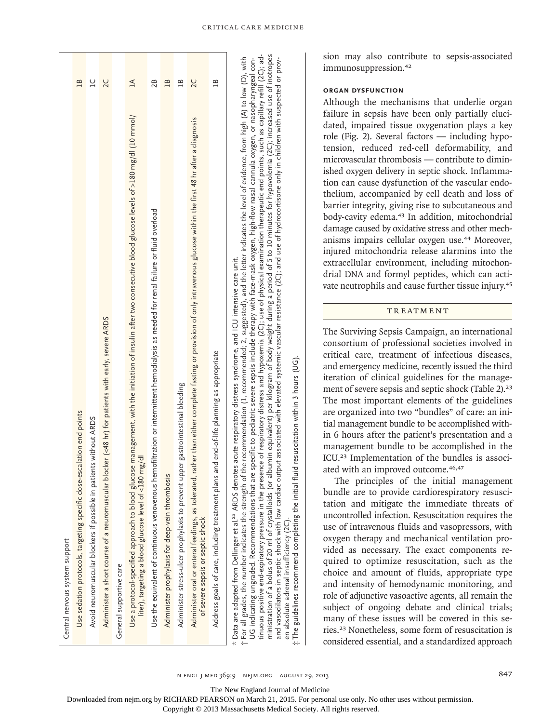| Central nervous system support                                                                                                                                                                                                                                                                                                                                                                                                                                                                                                                                                                                                                                                                                                                                                                                                                                                                                                                                                                                                                                                                                |                 |
|---------------------------------------------------------------------------------------------------------------------------------------------------------------------------------------------------------------------------------------------------------------------------------------------------------------------------------------------------------------------------------------------------------------------------------------------------------------------------------------------------------------------------------------------------------------------------------------------------------------------------------------------------------------------------------------------------------------------------------------------------------------------------------------------------------------------------------------------------------------------------------------------------------------------------------------------------------------------------------------------------------------------------------------------------------------------------------------------------------------|-----------------|
| Use sedation protocols, targeting specific dose-escalation end points                                                                                                                                                                                                                                                                                                                                                                                                                                                                                                                                                                                                                                                                                                                                                                                                                                                                                                                                                                                                                                         | $\overline{18}$ |
| Avoid neuromuscular blockers if possible in patients without ARDS                                                                                                                                                                                                                                                                                                                                                                                                                                                                                                                                                                                                                                                                                                                                                                                                                                                                                                                                                                                                                                             | $\overline{C}$  |
| Administer a short course of a neuromuscular blocker (<48 hr) for patients with early, severe ARDS                                                                                                                                                                                                                                                                                                                                                                                                                                                                                                                                                                                                                                                                                                                                                                                                                                                                                                                                                                                                            | 2C              |
| General supportive care                                                                                                                                                                                                                                                                                                                                                                                                                                                                                                                                                                                                                                                                                                                                                                                                                                                                                                                                                                                                                                                                                       |                 |
| Use a protocol-specified approach to blood glucose management, with the initiation of insulin after two consecutive blood glucose levels of >180 mg/dl (10 mmol/<br>liter), targeting a blood glucose level of <180 mg/dl                                                                                                                                                                                                                                                                                                                                                                                                                                                                                                                                                                                                                                                                                                                                                                                                                                                                                     | $\Delta$        |
| Use the equivalent of continuous venovenous hemofiltration or intermittent hemodialysis as needed for renal failure or fluid overload                                                                                                                                                                                                                                                                                                                                                                                                                                                                                                                                                                                                                                                                                                                                                                                                                                                                                                                                                                         | 2B              |
| Administer prophylaxis for deep-vein thrombosis                                                                                                                                                                                                                                                                                                                                                                                                                                                                                                                                                                                                                                                                                                                                                                                                                                                                                                                                                                                                                                                               | 1B              |
| Administer stress-ulcer prophylaxis to prevent upper gastrointestinal bleeding                                                                                                                                                                                                                                                                                                                                                                                                                                                                                                                                                                                                                                                                                                                                                                                                                                                                                                                                                                                                                                | $\overline{a}$  |
| Administer oral or enteral feedings, as tolerated, rather than either complete fasting or provision of only intravenous glucose within the first 48 hr after a diagnosis<br>of severe sepsis or septic shock                                                                                                                                                                                                                                                                                                                                                                                                                                                                                                                                                                                                                                                                                                                                                                                                                                                                                                  | 2C              |
| and end-of-life planning as appropriate<br>Address goals of care, including treatment plans                                                                                                                                                                                                                                                                                                                                                                                                                                                                                                                                                                                                                                                                                                                                                                                                                                                                                                                                                                                                                   | $\overline{a}$  |
| ministration of a bolus of 20 ml of crystalloids (or albumin equivalent) per kilogram of body weight during a period of 5 to 10 minutes for hypovolemia (2C); increased use of inotropes<br>tinuous positive end-expiratory pressure in the presence of respiratory distress and hypoxemia (2C); use of physical examination therapeutic end points, such as capillary refill (2C); ad-<br>i For all grades, the number indicates the strength of the recommendation (1, recommended; 2, suggested), and the letter indicates the level of evidence, from high (A) to low (D), with<br>UG indicating ungraded. Recommendations that are specific to pediatric severe sepsis include therapy with face-mask oxygen, high-flow nasal cannula oxygen, or nasopharyngeal con-<br>and vasodilators in septic shock with low cardiac output associated with elevated systemic vascular resistance (2C); and use of hydrocortisone only in children with suspected or prov-<br>* Data are adapted from Dellinger et al. <sup>23</sup> ARDS denotes acute respiratory distress syndrome, and ICU intensive care unit. |                 |

guidelines recommend completing the initial fluid resuscitation within 3 hours (UG)  $\ddot{x}$  The guidelines recommend completing the initial fluid resuscitation within 3 hours (UG). en absolute adrenal insufficiency (2C). en absolute adrenal insufficiency (2C). The

‡

sion may also contribute to sepsis-associated immunosuppression.<sup>42</sup>

# **Organ Dysfunction**

Although the mechanisms that underlie organ failure in sepsis have been only partially elucidated, impaired tissue oxygenation plays a key role (Fig. 2). Several factors — including hypotension, reduced red-cell deformability, and microvascular thrombosis — contribute to diminished oxygen delivery in septic shock. Inflammation can cause dysfunction of the vascular endothelium, accompanied by cell death and loss of barrier integrity, giving rise to subcutaneous and body-cavity edema.<sup>43</sup> In addition, mitochondrial damage caused by oxidative stress and other mechanisms impairs cellular oxygen use.44 Moreover, injured mitochondria release alarmins into the extracellular environment, including mitochondrial DNA and formyl peptides, which can activate neutrophils and cause further tissue injury.<sup>45</sup>

## **TREATMENT**

The Surviving Sepsis Campaign, an international consortium of professional societies involved in critical care, treatment of infectious diseases, and emergency medicine, recently issued the third iteration of clinical guidelines for the management of severe sepsis and septic shock (Table 2).<sup>23</sup> The most important elements of the guidelines are organized into two "bundles" of care: an initial management bundle to be accomplished within 6 hours after the patient's presentation and a management bundle to be accomplished in the ICU.23 Implementation of the bundles is associated with an improved outcome.<sup>46,47</sup>

The principles of the initial management bundle are to provide cardiorespiratory resuscitation and mitigate the immediate threats of uncontrolled infection. Resuscitation requires the use of intravenous fluids and vasopressors, with oxygen therapy and mechanical ventilation provided as necessary. The exact components required to optimize resuscitation, such as the choice and amount of fluids, appropriate type and intensity of hemodynamic monitoring, and role of adjunctive vasoactive agents, all remain the subject of ongoing debate and clinical trials; many of these issues will be covered in this series.23 Nonetheless, some form of resuscitation is considered essential, and a standardized approach

The New England Journal of Medicine

Downloaded from nejm.org by RICHARD PEARSON on March 21, 2015. For personal use only. No other uses without permission.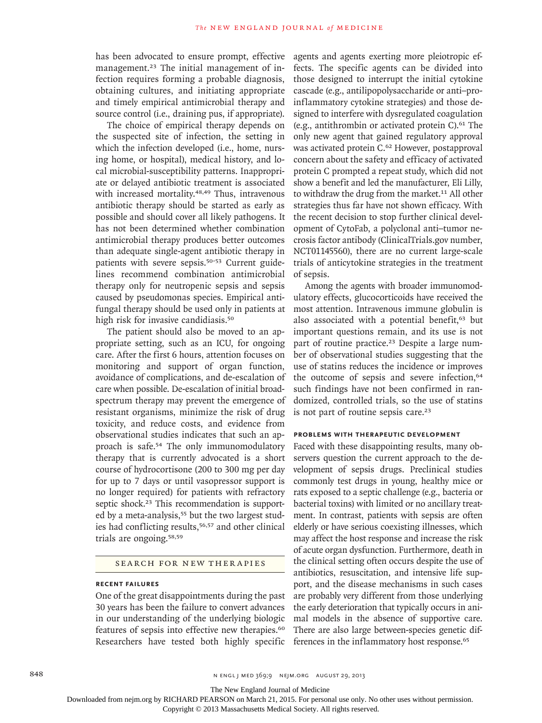has been advocated to ensure prompt, effective management.<sup>23</sup> The initial management of infection requires forming a probable diagnosis, obtaining cultures, and initiating appropriate and timely empirical antimicrobial therapy and source control (i.e., draining pus, if appropriate).

The choice of empirical therapy depends on the suspected site of infection, the setting in which the infection developed (i.e., home, nursing home, or hospital), medical history, and local microbial-susceptibility patterns. Inappropriate or delayed antibiotic treatment is associated with increased mortality.<sup>48,49</sup> Thus, intravenous antibiotic therapy should be started as early as possible and should cover all likely pathogens. It has not been determined whether combination antimicrobial therapy produces better outcomes than adequate single-agent antibiotic therapy in patients with severe sepsis.50-53 Current guidelines recommend combination antimicrobial therapy only for neutropenic sepsis and sepsis caused by pseudomonas species. Empirical antifungal therapy should be used only in patients at high risk for invasive candidiasis.<sup>50</sup>

The patient should also be moved to an appropriate setting, such as an ICU, for ongoing care. After the first 6 hours, attention focuses on monitoring and support of organ function, avoidance of complications, and de-escalation of care when possible. De-escalation of initial broadspectrum therapy may prevent the emergence of resistant organisms, minimize the risk of drug toxicity, and reduce costs, and evidence from observational studies indicates that such an approach is safe.54 The only immunomodulatory therapy that is currently advocated is a short course of hydrocortisone (200 to 300 mg per day for up to 7 days or until vasopressor support is no longer required) for patients with refractory septic shock.<sup>23</sup> This recommendation is supported by a meta-analysis,<sup>55</sup> but the two largest studies had conflicting results,56,57 and other clinical trials are ongoing.58,59

#### SEARCH FOR NEW THERAPIES

## **Recent Failures**

One of the great disappointments during the past 30 years has been the failure to convert advances in our understanding of the underlying biologic features of sepsis into effective new therapies.<sup>60</sup> Researchers have tested both highly specific

agents and agents exerting more pleiotropic effects. The specific agents can be divided into those designed to interrupt the initial cytokine cascade (e.g., antilipopolysaccharide or anti–proinflammatory cytokine strategies) and those designed to interfere with dysregulated coagulation (e.g., antithrombin or activated protein  $C$ ).<sup>61</sup> The only new agent that gained regulatory approval was activated protein C.<sup>62</sup> However, postapproval concern about the safety and efficacy of activated protein C prompted a repeat study, which did not show a benefit and led the manufacturer, Eli Lilly, to withdraw the drug from the market.<sup>11</sup> All other strategies thus far have not shown efficacy. With the recent decision to stop further clinical development of CytoFab, a polyclonal anti–tumor necrosis factor antibody (ClinicalTrials.gov number, NCT01145560), there are no current large-scale trials of anticytokine strategies in the treatment of sepsis.

Among the agents with broader immunomodulatory effects, glucocorticoids have received the most attention. Intravenous immune globulin is also associated with a potential benefit,<sup>63</sup> but important questions remain, and its use is not part of routine practice.<sup>23</sup> Despite a large number of observational studies suggesting that the use of statins reduces the incidence or improves the outcome of sepsis and severe infection,<sup>64</sup> such findings have not been confirmed in randomized, controlled trials, so the use of statins is not part of routine sepsis care.<sup>23</sup>

# **PROBLEMS WITH therapeutic development**

Faced with these disappointing results, many observers question the current approach to the development of sepsis drugs. Preclinical studies commonly test drugs in young, healthy mice or rats exposed to a septic challenge (e.g., bacteria or bacterial toxins) with limited or no ancillary treatment. In contrast, patients with sepsis are often elderly or have serious coexisting illnesses, which may affect the host response and increase the risk of acute organ dysfunction. Furthermore, death in the clinical setting often occurs despite the use of antibiotics, resuscitation, and intensive life support, and the disease mechanisms in such cases are probably very different from those underlying the early deterioration that typically occurs in animal models in the absence of supportive care. There are also large between-species genetic differences in the inflammatory host response.<sup>65</sup>

848 **848** n engl j med 369;9 nejm.org august 29, 2013

The New England Journal of Medicine

Downloaded from nejm.org by RICHARD PEARSON on March 21, 2015. For personal use only. No other uses without permission.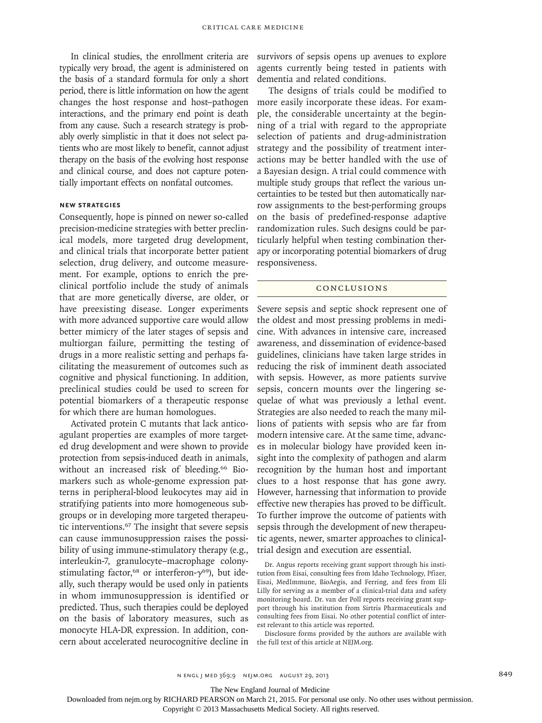In clinical studies, the enrollment criteria are typically very broad, the agent is administered on the basis of a standard formula for only a short period, there is little information on how the agent changes the host response and host–pathogen interactions, and the primary end point is death from any cause. Such a research strategy is probably overly simplistic in that it does not select patients who are most likely to benefit, cannot adjust therapy on the basis of the evolving host response and clinical course, and does not capture potentially important effects on nonfatal outcomes.

## **NEW STRATEGIES**

Consequently, hope is pinned on newer so-called precision-medicine strategies with better preclinical models, more targeted drug development, and clinical trials that incorporate better patient selection, drug delivery, and outcome measurement. For example, options to enrich the preclinical portfolio include the study of animals that are more genetically diverse, are older, or have preexisting disease. Longer experiments with more advanced supportive care would allow better mimicry of the later stages of sepsis and multiorgan failure, permitting the testing of drugs in a more realistic setting and perhaps facilitating the measurement of outcomes such as cognitive and physical functioning. In addition, preclinical studies could be used to screen for potential biomarkers of a therapeutic response for which there are human homologues.

Activated protein C mutants that lack anticoagulant properties are examples of more targeted drug development and were shown to provide protection from sepsis-induced death in animals, without an increased risk of bleeding.<sup>66</sup> Biomarkers such as whole-genome expression patterns in peripheral-blood leukocytes may aid in stratifying patients into more homogeneous subgroups or in developing more targeted therapeutic interventions.67 The insight that severe sepsis can cause immunosuppression raises the possibility of using immune-stimulatory therapy (e.g., interleukin-7, granulocyte–macrophage colonystimulating factor,<sup>68</sup> or interferon- $\gamma$ <sup>69</sup>), but ideally, such therapy would be used only in patients in whom immunosuppression is identified or predicted. Thus, such therapies could be deployed on the basis of laboratory measures, such as monocyte HLA-DR expression. In addition, concern about accelerated neurocognitive decline in survivors of sepsis opens up avenues to explore agents currently being tested in patients with dementia and related conditions.

The designs of trials could be modified to more easily incorporate these ideas. For example, the considerable uncertainty at the beginning of a trial with regard to the appropriate selection of patients and drug-administration strategy and the possibility of treatment interactions may be better handled with the use of a Bayesian design. A trial could commence with multiple study groups that reflect the various uncertainties to be tested but then automatically narrow assignments to the best-performing groups on the basis of predefined-response adaptive randomization rules. Such designs could be particularly helpful when testing combination therapy or incorporating potential biomarkers of drug responsiveness.

# Conclusions

Severe sepsis and septic shock represent one of the oldest and most pressing problems in medicine. With advances in intensive care, increased awareness, and dissemination of evidence-based guidelines, clinicians have taken large strides in reducing the risk of imminent death associated with sepsis. However, as more patients survive sepsis, concern mounts over the lingering sequelae of what was previously a lethal event. Strategies are also needed to reach the many millions of patients with sepsis who are far from modern intensive care. At the same time, advances in molecular biology have provided keen insight into the complexity of pathogen and alarm recognition by the human host and important clues to a host response that has gone awry. However, harnessing that information to provide effective new therapies has proved to be difficult. To further improve the outcome of patients with sepsis through the development of new therapeutic agents, newer, smarter approaches to clinicaltrial design and execution are essential.

Dr. Angus reports receiving grant support through his institution from Eisai, consulting fees from Idaho Technology, Pfizer, Eisai, MedImmune, BioAegis, and Ferring, and fees from Eli Lilly for serving as a member of a clinical-trial data and safety monitoring board. Dr. van der Poll reports receiving grant support through his institution from Sirtris Pharmaceuticals and consulting fees from Eisai. No other potential conflict of interest relevant to this article was reported.

Disclosure forms provided by the authors are available with the full text of this article at NEJM.org.

The New England Journal of Medicine

Downloaded from nejm.org by RICHARD PEARSON on March 21, 2015. For personal use only. No other uses without permission.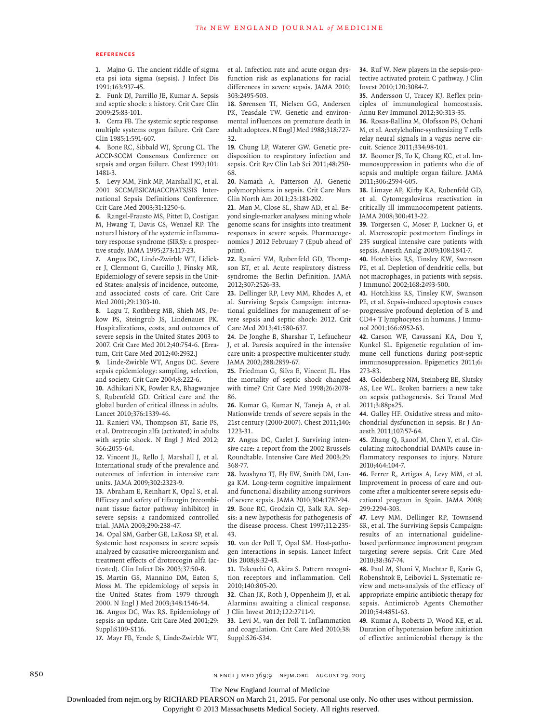#### **References**

**1.** Majno G. The ancient riddle of sigma eta psi iota sigma (sepsis). J Infect Dis 1991;163:937-45.

**2.** Funk DJ, Parrillo JE, Kumar A. Sepsis and septic shock: a history. Crit Care Clin 2009;25:83-101.

**3.** Cerra FB. The systemic septic response: multiple systems organ failure. Crit Care Clin 1985;1:591-607.

**4.** Bone RC, Sibbald WJ, Sprung CL. The ACCP-SCCM Consensus Conference on sepsis and organ failure. Chest 1992;101: 1481-3.

**5.** Levy MM, Fink MP, Marshall JC, et al. 2001 SCCM/ESICM/ACCP/ATS/SIS International Sepsis Definitions Conference. Crit Care Med 2003;31:1250-6.

**6.** Rangel-Frausto MS, Pittet D, Costigan M, Hwang T, Davis CS, Wenzel RP. The natural history of the systemic inflammatory response syndrome (SIRS): a prospective study. JAMA 1995;273:117-23.

**7.** Angus DC, Linde-Zwirble WT, Lidicker J, Clermont G, Carcillo J, Pinsky MR. Epidemiology of severe sepsis in the United States: analysis of incidence, outcome, and associated costs of care. Crit Care Med 2001;29:1303-10.

**8.** Lagu T, Rothberg MB, Shieh MS, Pekow PS, Steingrub JS, Lindenauer PK. Hospitalizations, costs, and outcomes of severe sepsis in the United States 2003 to 2007. Crit Care Med 2012;40:754-6. [Erratum, Crit Care Med 2012;40:2932.]

**9.** Linde-Zwirble WT, Angus DC. Severe sepsis epidemiology: sampling, selection, and society. Crit Care 2004;8:222-6.

**10.** Adhikari NK, Fowler RA, Bhagwanjee S, Rubenfeld GD. Critical care and the global burden of critical illness in adults. Lancet 2010;376:1339-46.

**11.** Ranieri VM, Thompson BT, Barie PS, et al. Drotrecogin alfa (activated) in adults with septic shock. N Engl J Med 2012; 366:2055-64.

**12.** Vincent JL, Rello J, Marshall J, et al. International study of the prevalence and outcomes of infection in intensive care units. JAMA 2009;302:2323-9.

**13.** Abraham E, Reinhart K, Opal S, et al. Efficacy and safety of tifacogin (recombinant tissue factor pathway inhibitor) in severe sepsis: a randomized controlled trial. JAMA 2003;290:238-47.

**14.** Opal SM, Garber GE, LaRosa SP, et al. Systemic host responses in severe sepsis analyzed by causative microorganism and treatment effects of drotrecogin alfa (activated). Clin Infect Dis 2003;37:50-8.

**15.** Martin GS, Mannino DM, Eaton S, Moss M. The epidemiology of sepsis in the United States from 1979 through 2000. N Engl J Med 2003;348:1546-54. **16.** Angus DC, Wax RS. Epidemiology of sepsis: an update. Crit Care Med 2001;29: Suppl:S109-S116.

**17.** Mayr FB, Yende S, Linde-Zwirble WT,

et al. Infection rate and acute organ dysfunction risk as explanations for racial differences in severe sepsis. JAMA 2010; 303:2495-503.

**18.** Sørensen TI, Nielsen GG, Andersen PK, Teasdale TW. Genetic and environmental influences on premature death in adult adoptees. N Engl J Med 1988;318:727- 32.

**19.** Chung LP, Waterer GW. Genetic predisposition to respiratory infection and sepsis. Crit Rev Clin Lab Sci 2011;48:250- 68.

**20.** Namath A, Patterson AJ. Genetic polymorphisms in sepsis. Crit Care Nurs Clin North Am 2011;23:181-202.

**21.** Man M, Close SL, Shaw AD, et al. Beyond single-marker analyses: mining whole genome scans for insights into treatment responses in severe sepsis. Pharmacogenomics J 2012 February 7 (Epub ahead of print).

**22.** Ranieri VM, Rubenfeld GD, Thompson BT, et al. Acute respiratory distress syndrome: the Berlin Definition. JAMA 2012;307:2526-33.

**23.** Dellinger RP, Levy MM, Rhodes A, et al. Surviving Sepsis Campaign: international guidelines for management of severe sepsis and septic shock: 2012. Crit Care Med 2013;41:580-637.

**24.** De Jonghe B, Sharshar T, Lefaucheur J, et al. Paresis acquired in the intensive care unit: a prospective multicenter study. JAMA 2002;288:2859-67.

**25.** Friedman G, Silva E, Vincent JL. Has the mortality of septic shock changed with time? Crit Care Med 1998;26:2078- 86.

**26.** Kumar G, Kumar N, Taneja A, et al. Nationwide trends of severe sepsis in the 21st century (2000-2007). Chest 2011;140: 1223-31.

**27.** Angus DC, Carlet J. Surviving intensive care: a report from the 2002 Brussels Roundtable. Intensive Care Med 2003;29: 368-77.

**28.** Iwashyna TJ, Ely EW, Smith DM, Langa KM. Long-term cognitive impairment and functional disability among survivors of severe sepsis. JAMA 2010;304:1787-94. **29.** Bone RC, Grodzin CJ, Balk RA. Sepsis: a new hypothesis for pathogenesis of the disease process. Chest 1997;112:235- 43.

**30.** van der Poll T, Opal SM. Host-pathogen interactions in sepsis. Lancet Infect Dis 2008;8:32-43.

**31.** Takeuchi O, Akira S. Pattern recognition receptors and inflammation. Cell 2010;140:805-20.

**32.** Chan JK, Roth J, Oppenheim JJ, et al. Alarmins: awaiting a clinical response. J Clin Invest 2012;122:2711-9.

**33.** Levi M, van der Poll T. Inflammation and coagulation. Crit Care Med 2010;38: Suppl:S26-S34.

**34.** Ruf W. New players in the sepsis-protective activated protein C pathway. J Clin Invest 2010;120:3084-7.

**35.** Andersson U, Tracey KJ. Reflex principles of immunological homeostasis. Annu Rev Immunol 2012;30:313-35.

**36.** Rosas-Ballina M, Olofsson PS, Ochani M, et al. Acetylcholine-synthesizing T cells relay neural signals in a vagus nerve circuit. Science 2011;334:98-101.

**37.** Boomer JS, To K, Chang KC, et al. Immunosuppression in patients who die of sepsis and multiple organ failure. JAMA 2011;306:2594-605.

**38.** Limaye AP, Kirby KA, Rubenfeld GD, et al. Cytomegalovirus reactivation in critically ill immunocompetent patients. JAMA 2008;300:413-22.

**39.** Torgersen C, Moser P, Luckner G, et al. Macroscopic postmortem findings in 235 surgical intensive care patients with sepsis. Anesth Analg 2009;108:1841-7.

**40.** Hotchkiss RS, Tinsley KW, Swanson PE, et al. Depletion of dendritic cells, but not macrophages, in patients with sepsis. J Immunol 2002;168:2493-500.

**41.** Hotchkiss RS, Tinsley KW, Swanson PE, et al. Sepsis-induced apoptosis causes progressive profound depletion of B and CD4+ T lymphocytes in humans. J Immunol 2001;166:6952-63.

**42.** Carson WF, Cavassani KA, Dou Y, Kunkel SL. Epigenetic regulation of immune cell functions during post-septic immunosuppression. Epigenetics 2011;6: 273-83.

**43.** Goldenberg NM, Steinberg BE, Slutsky AS, Lee WL. Broken barriers: a new take on sepsis pathogenesis. Sci Transl Med 2011;3:88ps25.

**44.** Galley HF. Oxidative stress and mitochondrial dysfunction in sepsis. Br J Anaesth 2011;107:57-64.

**45.** Zhang Q, Raoof M, Chen Y, et al. Circulating mitochondrial DAMPs cause inflammatory responses to injury. Nature 2010;464:104-7.

**46.** Ferrer R, Artigas A, Levy MM, et al. Improvement in process of care and outcome after a multicenter severe sepsis educational program in Spain. JAMA 2008; 299:2294-303.

**47.** Levy MM, Dellinger RP, Townsend SR, et al. The Surviving Sepsis Campaign: results of an international guidelinebased performance improvement program targeting severe sepsis. Crit Care Med 2010;38:367-74.

**48.** Paul M, Shani V, Muchtar E, Kariv G, Robenshtok E, Leibovici L. Systematic review and meta-analysis of the efficacy of appropriate empiric antibiotic therapy for sepsis. Antimicrob Agents Chemother 2010;54:4851-63.

**49.** Kumar A, Roberts D, Wood KE, et al. Duration of hypotension before initiation of effective antimicrobial therapy is the

850 N ENGL J MED 369;9 NEIM.ORG AUGUST 29, 2013

The New England Journal of Medicine

Downloaded from nejm.org by RICHARD PEARSON on March 21, 2015. For personal use only. No other uses without permission.